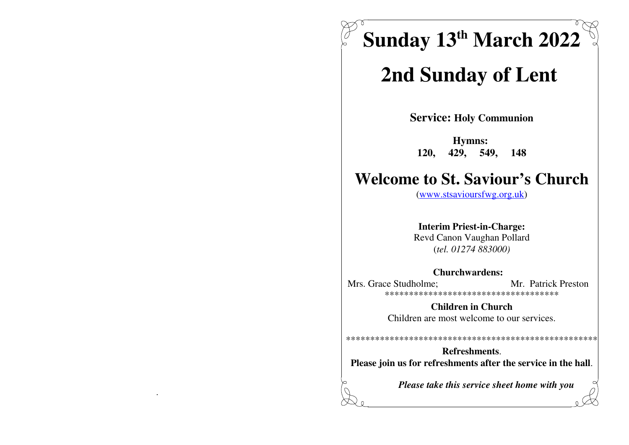Sunday 13th March 2022

# 2nd Sunday of Lent

**Service: Holy Communion** 

Hymns: 429, 549, **120.** 148

# **Welcome to St. Saviour's Church**

 $(www.stsavioursfwg.org.uk)$ 

**Interim Priest-in-Charge:** Revd Canon Vaughan Pollard  $(tel. 01274 883000)$ 

#### **Churchwardens:**

Mrs. Grace Studholme: Mr. Patrick Preston \*\*\*\*\*\*\*\*\*\*\*\*\*\*\*\*\*\*\*\*\*\*\*\*\*\*\*\*\*\*\*\*\*\*\*\*\*

> **Children in Church** Children are most welcome to our services.

Refreshments. Please join us for refreshments after the service in the hall.

Please take this service sheet home with you